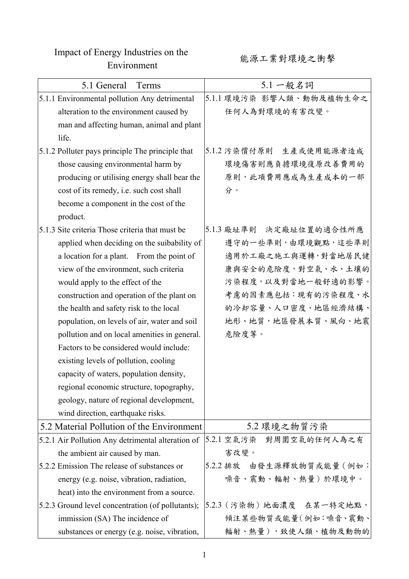## Impact of Energy Industries on the ergy industries on the the theory of the second of the second of the second second  $\mathbb{R}$  and  $\mathbb{R}$  is  $\mathbb{R}$  and  $\mathbb{R}$  is  $\mathbb{R}$  is  $\mathbb{R}$  and  $\mathbb{R}$  is  $\mathbb{R}$  is  $\mathbb{R}$  is  $\mathbb{R}$  is  $\mathbb{R}$  is  $\math$

| 5.1 General<br>Terms                              | 5.1 一般名詞                   |
|---------------------------------------------------|----------------------------|
| 5.1.1 Environmental pollution Any detrimental     | 5.1.1 環境污染 影響人類、動物及植物生命之   |
| alteration to the environment caused by           | 任何人為對環境的有害改變。              |
| man and affecting human, animal and plant         |                            |
| life.                                             |                            |
| 5.1.2 Polluter pays principle The principle that  | 5.1.2 污染償付原則 生產或使用能源者造成    |
| those causing environmental harm by               | 環境傷害則應負擔環境復原改善費用的          |
| producing or utilising energy shall bear the      | 原則,此項費用應成為生產成本的一部          |
| cost of its remedy, i.e. such cost shall          | 分。                         |
| become a component in the cost of the             |                            |
| product.                                          |                            |
| 5.1.3 Site criteria Those criteria that must be   | 5.1.3 廠址準則 決定廠址位置的適合性所應    |
| applied when deciding on the suibability of       | 遵守的一些準則,由環境觀點,這些準則         |
| a location for a plant. From the point of         | 適用於工廠之施工與運轉,對當地居民健         |
| view of the environment, such criteria            | 康與安全的危險度,對空氣、水、土壤的         |
| would apply to the effect of the                  | 污染程度,以及對當地一般舒適的影響。         |
| construction and operation of the plant on        | 考慮的因素應包括:現有的污染程度、水         |
| the health and safety risk to the local           | 的冷却容量、人口密度、地區經濟結構、         |
| population, on levels of air, water and soil      | 地形、地質,地區發展本質、風向、地震         |
| pollution and on local amenities in general.      | 危險度等。                      |
| Factors to be considered would include:           |                            |
| existing levels of pollution, cooling             |                            |
| capacity of waters, population density,           |                            |
| regional economic structure, topography,          |                            |
| geology, nature of regional development,          |                            |
| wind direction, earthquake risks.                 |                            |
| 5.2 Material Pollution of the Environment         | 5.2 環境之物質污染                |
| 5.2.1 Air Pollution Any detrimental alteration of | 5.2.1 空氣污染<br>對周圍空氣的任何人為之有 |
| the ambient air caused by man.                    | 害改變。                       |
| 5.2.2 Emission The release of substances or       | 5.2.2 排放 由發生源釋放物質或能量 (例如:  |
| energy (e.g. noise, vibration, radiation,         | 噪音、震動、輻射、熱量)於環境中。          |
| heat) into the environment from a source.         |                            |
| 5.2.3 Ground level concentration (of pollutants); | 5.2.3 (污染物) 地面濃度 在某一特定地點,  |
| immission (SA) The incidence of                   | 傾注某些物質或能量(例如:噪音、震動、        |
| substances or energy (e.g. noise, vibration,      | 輻射、熱量),致使人類、植物及動物的         |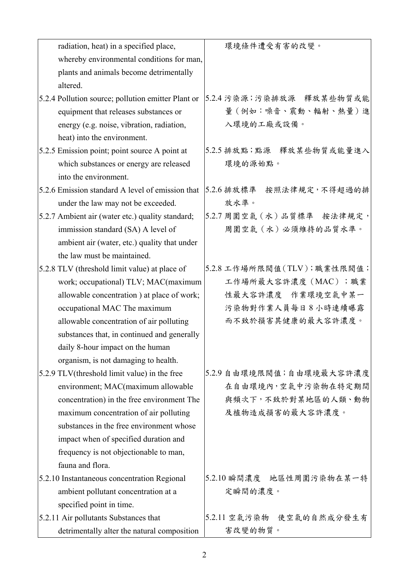| radiation, heat) in a specified place,             | 環境條件遭受有害的改變。               |
|----------------------------------------------------|----------------------------|
| whereby environmental conditions for man,          |                            |
| plants and animals become detrimentally            |                            |
| altered.                                           |                            |
| 5.2.4 Pollution source; pollution emitter Plant or | 5.2.4 污染源;污染排放源 釋放某些物質或能   |
| equipment that releases substances or              | 量(例如:噪音、震動、輻射、熱量)進         |
| energy (e.g. noise, vibration, radiation,          | 入環境的工廠或設備。                 |
| heat) into the environment.                        |                            |
| 5.2.5 Emission point; point source A point at      | 5.2.5 排放點;點源 釋放某些物質或能量進入   |
| which substances or energy are released            | 環境的源始點。                    |
| into the environment.                              |                            |
| 5.2.6 Emission standard A level of emission that   | 5.2.6排放標準 按照法律規定,不得超過的排    |
| under the law may not be exceeded.                 | 放水準。                       |
| 5.2.7 Ambient air (water etc.) quality standard;   | 5.2.7 周圍空氣 (水) 品質標準 按法律規定, |
| immission standard (SA) A level of                 | 周圍空氣 (水)必須維持的品質水準。         |
| ambient air (water, etc.) quality that under       |                            |
| the law must be maintained.                        |                            |
| 5.2.8 TLV (threshold limit value) at place of      | 5.2.8 工作場所限閥值(TLV);職業性限閥值; |
| work; occupational) TLV; MAC(maximum               | 工作場所最大容許濃度 (MAC);職業        |
| allowable concentration ) at place of work;        | 性最大容許濃度 作業環境空氣中某一          |
| occupational MAC The maximum                       | 污染物對作業人員每日8小時連續曝露          |
| allowable concentration of air polluting           | 而不致於損害其健康的最大容許濃度。          |
| substances that, in continued and generally        |                            |
| daily 8-hour impact on the human                   |                            |
| organism, is not damaging to health.               |                            |
| 5.2.9 TLV(threshold limit value) in the free       | 5.2.9 自由環境限閥值;自由環境最大容許濃度   |
| environment; MAC(maximum allowable                 | 在自由環境內,空氣中污染物在特定期間         |
| concentration) in the free environment The         | 與頻次下,不致於對某地區的人類、動物         |
| maximum concentration of air polluting             | 及植物造成損害的最大容許濃度。            |
| substances in the free environment whose           |                            |
| impact when of specified duration and              |                            |
| frequency is not objectionable to man,             |                            |
| fauna and flora.                                   |                            |
| 5.2.10 Instantaneous concentration Regional        | 5.2.10 瞬間濃度 地區性周圍污染物在某一特   |
| ambient pollutant concentration at a               | 定瞬間的濃度。                    |
| specified point in time.                           |                            |
| 5.2.11 Air pollutants Substances that              | 5.2.11 空氣污染物 使空氣的自然成分發生有   |
| detrimentally alter the natural composition        | 害改變的物質。                    |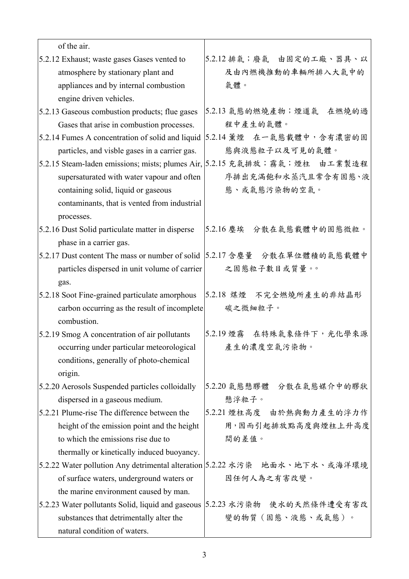| of the air.                                       |                                                                            |
|---------------------------------------------------|----------------------------------------------------------------------------|
| 5.2.12 Exhaust; waste gases Gases vented to       | 5.2.12排氣;廢氣 由固定的工廠、器具、以                                                    |
| atmosphere by stationary plant and                | 及由內燃機推動的車輛所排入大氣中的                                                          |
| appliances and by internal combustion             | 氣體。                                                                        |
| engine driven vehicles.                           |                                                                            |
| 5.2.13 Gaseous combustion products; flue gases    | 5.2.13 氣態的燃燒產物;煙道氣 在燃燒的過                                                   |
| Gases that arise in combustion processes.         | 程中產生的氣體。                                                                   |
| 5.2.14 Fumes A concentration of solid and liquid  | 5.2.14 薰煙 在一氣態載體中,含有濃密的固                                                   |
| particles, and visble gases in a carrier gas.     | 態與液態粒子以及可見的氣體。                                                             |
|                                                   | 5.2.15 Steam-laden emissions; mists; plumes Air, 5.2.15 充氣排放;霧氣;煙柱 由工業製造程  |
| supersaturated with water vapour and often        | 序排出充满飽和水蒸汽且常含有固態、液                                                         |
| containing solid, liquid or gaseous               | 態、或氣態污染物的空氣。                                                               |
| contaminants, that is vented from industrial      |                                                                            |
| processes.                                        |                                                                            |
| 5.2.16 Dust Solid particulate matter in disperse  | 5.2.16 塵埃 分散在氣態載體中的固態微粒。                                                   |
| phase in a carrier gas.                           |                                                                            |
|                                                   | 5.2.17 Dust content The mass or number of solid  5.2.17 含塵量 分散在單位體積的氣態載體中  |
| particles dispersed in unit volume of carrier     | 之固態粒子數目或質量。。                                                               |
| gas.                                              |                                                                            |
| 5.2.18 Soot Fine-grained particulate amorphous    | 5.2.18 煤煙 不完全燃燒所產生的非結晶形                                                    |
| carbon occurring as the result of incomplete      | 碳之微細粒子。                                                                    |
| combustion.                                       |                                                                            |
| 5.2.19 Smog A concentration of air pollutants     | 5.2.19 煙霧 在特殊氣象條件下, 光化學來源                                                  |
| occurring under particular meteorological         | 產生的濃度空氣污染物。                                                                |
| conditions, generally of photo-chemical           |                                                                            |
| origin.                                           |                                                                            |
| 5.2.20 Aerosols Suspended particles colloidally   | 5.2.20 氣態懸膠體<br>分散在氣態媒介中的膠狀                                                |
| dispersed in a gaseous medium.                    | 懸浮粒子。                                                                      |
| 5.2.21 Plume-rise The difference between the      | 5.2.21 煙柱高度 由於熱與動力產生的浮力作                                                   |
| height of the emission point and the height       | 用,因而引起排放點高度與煙柱上升高度                                                         |
| to which the emissions rise due to                | 間的差值。                                                                      |
| thermally or kinetically induced buoyancy.        |                                                                            |
|                                                   | 5.2.22 Water pollution Any detrimental alteration 5.2.22 水污染 地面水、地下水、或海洋環境 |
| of surface waters, underground waters or          | 因任何人為之有害改變。                                                                |
| the marine environment caused by man.             |                                                                            |
| 5.2.23 Water pollutants Solid, liquid and gaseous | 5.2.23 水污染物 使水的天然條件遭受有害改                                                   |
| substances that detrimentally alter the           | 變的物質(固態、液態、或氣態)。                                                           |
| natural condition of waters.                      |                                                                            |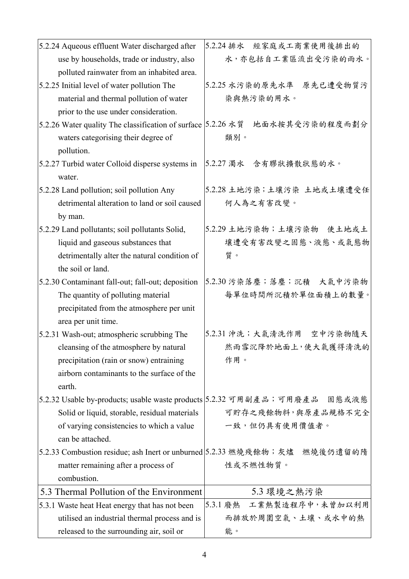| 5.2.24 Aqueous effluent Water discharged after                            | 5.2.24排水 經家庭或工商業使用後排出的                                                       |
|---------------------------------------------------------------------------|------------------------------------------------------------------------------|
| use by households, trade or industry, also                                | 水,亦包括自工業區流出受污染的雨水。                                                           |
| polluted rainwater from an inhabited area.                                |                                                                              |
| 5.2.25 Initial level of water pollution The                               | 5.2.25 水污染的原先水準 原先已遭受物質污                                                     |
| material and thermal pollution of water                                   | 染與熱污染的用水。                                                                    |
| prior to the use under consideration.                                     |                                                                              |
| 5.2.26 Water quality The classification of surface 5.2.26 水質              | 地面水按其受污染的程度而劃分                                                               |
| waters categorising their degree of                                       | 類別。                                                                          |
| pollution.                                                                |                                                                              |
| 5.2.27 Turbid water Colloid disperse systems in                           | 5.2.27 濁水 含有膠狀擴散狀態的水。                                                        |
| water.                                                                    |                                                                              |
| 5.2.28 Land pollution; soil pollution Any                                 | 5.2.28 土地污染;土壤污染 土地或土壤遭受任                                                    |
| detrimental alteration to land or soil caused                             | 何人為之有害改變。                                                                    |
| by man.                                                                   |                                                                              |
| 5.2.29 Land pollutants; soil pollutants Solid,                            | 5.2.29 土地污染物;土壤污染物 使土地或土                                                     |
| liquid and gaseous substances that                                        | 壤遭受有害改變之固態、液態、或氣態物                                                           |
| detrimentally alter the natural condition of                              | 質。                                                                           |
| the soil or land.                                                         |                                                                              |
| 5.2.30 Contaminant fall-out; fall-out; deposition                         | 5.2.30 污染落塵;落塵;沉積 大氣中污染物                                                     |
| The quantity of polluting material                                        | 每單位時間所沉積於單位面積上的數量。                                                           |
| precipitated from the atmosphere per unit                                 |                                                                              |
| area per unit time.                                                       |                                                                              |
| 5.2.31 Wash-out; atmospheric scrubbing The                                | 5.2.31 沖洗;大氣清洗作用 空中污染物隨天                                                     |
| cleansing of the atmosphere by natural                                    | 然雨雪沉降於地面上,使大氣獲得清洗的                                                           |
| precipitation (rain or snow) entraining                                   | 作用。                                                                          |
| airborn contaminants to the surface of the                                |                                                                              |
| earth.                                                                    |                                                                              |
|                                                                           | 5.2.32 Usable by-products; usable waste products 5.2.32 可用副產品;可用廢產品    固態或液態 |
| Solid or liquid, storable, residual materials                             | 可貯存之殘餘物料,與原產品規格不完全                                                           |
| of varying consistencies to which a value                                 | 一致,但仍具有使用價值者。                                                                |
| can be attached.                                                          |                                                                              |
| 5.2.33 Combustion residue; ash Inert or unburned 5.2.33 燃燒殘餘物;灰燼 燃燒後仍遺留的隋 |                                                                              |
| matter remaining after a process of                                       | 性或不燃性物質。                                                                     |
| combustion.                                                               |                                                                              |
| 5.3 Thermal Pollution of the Environment                                  | 5.3 環境之熱污染                                                                   |
| 5.3.1 Waste heat Heat energy that has not been                            | 5.3.1 廢熱 工業熱製造程序中,未曾加以利用                                                     |
| utilised an industrial thermal process and is                             | 而排放於周圍空氣、土壤、或水中的熱                                                            |
| released to the surrounding air, soil or                                  | 能。                                                                           |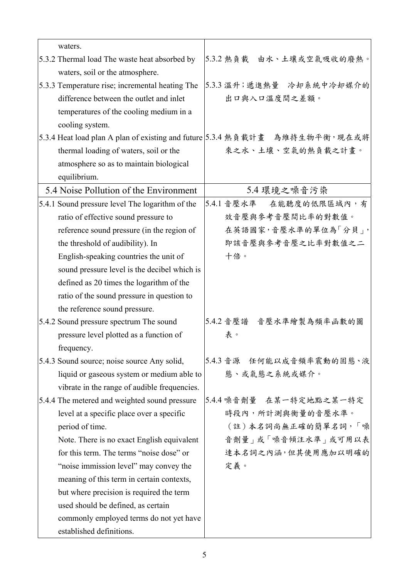| waters.                                                                     |            |              |                           |
|-----------------------------------------------------------------------------|------------|--------------|---------------------------|
| 5.3.2 Thermal load The waste heat absorbed by                               |            |              | 5.3.2 熱負載 由水、土壤或空氣吸收的廢熱。  |
| waters, soil or the atmosphere.                                             |            |              |                           |
| 5.3.3 Temperature rise; incremental heating The                             |            |              | 5.3.3 温升; 遞進熱量 冷却系統中冷却媒介的 |
| difference between the outlet and inlet                                     |            | 出口與入口溫度間之差額。 |                           |
| temperatures of the cooling medium in a                                     |            |              |                           |
| cooling system.                                                             |            |              |                           |
| 5.3.4 Heat load plan A plan of existing and future 5.3.4 熱負載計畫 為維持生物平衡,現在或將 |            |              |                           |
| thermal loading of waters, soil or the                                      |            |              | 來之水、土壤、空氣的熱負載之計畫。         |
| atmosphere so as to maintain biological                                     |            |              |                           |
| equilibrium.                                                                |            |              |                           |
| 5.4 Noise Pollution of the Environment                                      |            | 5.4 環境之噪音污染  |                           |
| 5.4.1 Sound pressure level The logarithm of the                             | 5.4.1 音壓水準 |              | 在能聽度的低限區域內,有              |
| ratio of effective sound pressure to                                        |            |              | 效音壓與參考音壓間比率的對數值。          |
| reference sound pressure (in the region of                                  |            |              | 在英語國家,音壓水準的單位為「分貝」,       |
| the threshold of audibility). In                                            |            |              | 即該音壓與參考音壓之比率對數值之二         |
| English-speaking countries the unit of                                      | 十倍。        |              |                           |
| sound pressure level is the decibel which is                                |            |              |                           |
| defined as 20 times the logarithm of the                                    |            |              |                           |
| ratio of the sound pressure in question to                                  |            |              |                           |
| the reference sound pressure.                                               |            |              |                           |
| 5.4.2 Sound pressure spectrum The sound                                     |            |              | 5.4.2 音壓譜 音壓水準繪製為頻率函數的圖   |
| pressure level plotted as a function of                                     | 表。         |              |                           |
| frequency.                                                                  |            |              |                           |
| 5.4.3 Sound source; noise source Any solid,                                 |            |              | 5.4.3 音源 任何能以成音頻率震動的固態、液  |
| liquid or gaseous system or medium able to                                  |            | 熊、或氣熊之系統或媒介。 |                           |
| vibrate in the range of audible frequencies.                                |            |              |                           |
| 5.4.4 The metered and weighted sound pressure                               |            |              | 5.4.4 噪音劑量 在某一特定地點之某一特定   |
| level at a specific place over a specific                                   |            |              | 時段內,所計測與衡量的音壓水準。          |
| period of time.                                                             |            |              | (註)本名詞尚無正確的簡單名詞,「噪        |
| Note. There is no exact English equivalent                                  |            |              | 音劑量   或「噪音傾注水準   或可用以表    |
| for this term. The terms "noise dose" or                                    |            |              | 達本名詞之內涵,但其使用應加以明確的        |
| "noise immission level" may convey the                                      | 定義。        |              |                           |
| meaning of this term in certain contexts,                                   |            |              |                           |
| but where precision is required the term                                    |            |              |                           |
| used should be defined, as certain                                          |            |              |                           |
| commonly employed terms do not yet have                                     |            |              |                           |
| established definitions.                                                    |            |              |                           |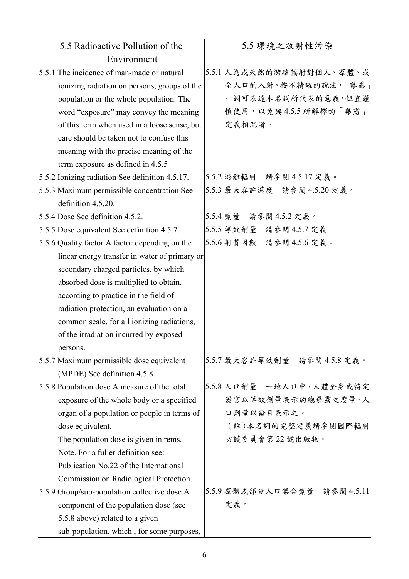| 5.5 Radioactive Pollution of the                | 5.5 環境之放射性污染                 |
|-------------------------------------------------|------------------------------|
| Environment                                     |                              |
| 5.5.1 The incidence of man-made or natural      | 5.5.1 人為或天然的游離輻射對個人、羣體、或     |
| ionizing radiation on persons, groups of the    | 全人口的入射。按不精確的說法,「曝露」          |
| population or the whole population. The         | 一詞可表達本名詞所代表的意義,但宜謹           |
| word "exposure" may convey the meaning          | 慎使用,以免與4.5.5 所解釋的「曝露」        |
| of this term when used in a loose sense, but    | 定義相混淆。                       |
| care should be taken not to confuse this        |                              |
| meaning with the precise meaning of the         |                              |
| term exposure as defined in 4.5.5               |                              |
| 5.5.2 Ionizing radiation See definition 4.5.17. | 5.5.2 游離輻射 請參閱 4.5.17 定義。    |
| 5.5.3 Maximum permissible concentration See     | 5.5.3 最大容許濃度 請參閱 4.5.20 定義。  |
| definition 4.5.20.                              |                              |
| 5.5.4 Dose See definition 4.5.2.                | 5.5.4 劑量 請參閱 4.5.2 定義。       |
| 5.5.5 Dose equivalent See definition 4.5.7.     | 5.5.5 等效劑量 請參閱 4.5.7 定義。     |
| 5.5.6 Quality factor A factor depending on the  | 5.5.6 射質因數 請參閱 4.5.6 定義。     |
| linear energy transfer in water of primary or   |                              |
| secondary charged particles, by which           |                              |
| absorbed dose is multiplied to obtain,          |                              |
| according to practice in the field of           |                              |
| radiation protection, an evaluation on a        |                              |
| common scale, for all ionizing radiations,      |                              |
| of the irradiation incurred by exposed          |                              |
| persons.                                        |                              |
| 5.5.7 Maximum permissible dose equivalent       | 5.5.7 最大容許等效劑量 請參閱 4.5.8 定義。 |
| (MPDE) See definition 4.5.8.                    |                              |
| 5.5.8 Population dose A measure of the total    | 5.5.8 人口劑量 一地人口中,人體全身或特定     |
| exposure of the whole body or a specified       | 器官以等效劑量表示的總曝露之度量,人           |
| organ of a population or people in terms of     | 口劑量以侖目表示之。                   |
| dose equivalent.                                | (註)本名詞的完整定義請參閱國際輻射           |
| The population dose is given in rems.           | 防護委員會第22號出版物。                |
| Note. For a fuller definition see:              |                              |
| Publication No.22 of the International          |                              |
| Commission on Radiological Protection.          |                              |
| 5.5.9 Group/sub-population collective dose A    | 5.5.9 羣體或部分人口集合劑量 請參閱 4.5.11 |
| component of the population dose (see           | 定義。                          |
| 5.5.8 above) related to a given                 |                              |
| sub-population, which, for some purposes,       |                              |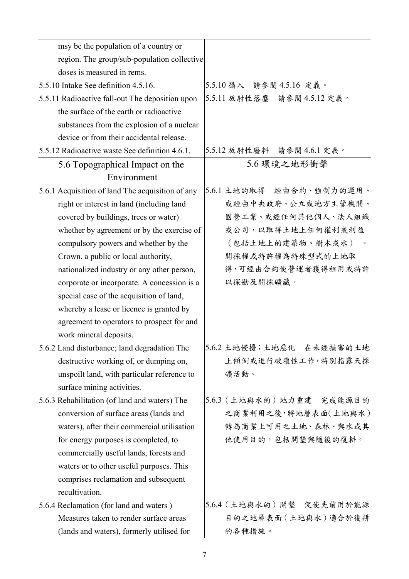| msy be the population of a country or            |                             |
|--------------------------------------------------|-----------------------------|
| region. The group/sub-population collective      |                             |
| doses is measured in rems.                       |                             |
| 5.5.10 Intake See definition 4.5.16.             | 5.5.10 攝入 請參閱 4.5.16 定義。    |
| 5.5.11 Radioactive fall-out The deposition upon  | 5.5.11 放射性落塵 請參閱 4.5.12 定義。 |
| the surface of the earth or radioactive          |                             |
| substances from the explosion of a nuclear       |                             |
| device or from their accidental release.         |                             |
| 5.5.12 Radioactive waste See definition 4.6.1.   | 5.5.12 放射性廢料 請參閱 4.6.1 定義。  |
| 5.6 Topographical Impact on the                  | 5.6 環境之地形衝擊                 |
| Environment                                      |                             |
| 5.6.1 Acquisition of land The acquisition of any | 5.6.1 土地的取得 經由合約、強制力的運用、    |
| right or interest in land (including land        | 或經由中央政府、公立或地方主管機關、          |
| covered by buildings, trees or water)            | 國營工業、或經任何其他個人、法人組織          |
| whether by agreement or by the exercise of       | 或公司,以取得土地上任何權利或利益           |
| compulsory powers and whether by the             | (包括土地上的建築物、樹木或水)            |
| Crown, a public or local authority,              | 開採權或特許權為特殊型式的土地取            |
| nationalized industry or any other person,       | 得,可經由合約使營運者獲得租用或特許          |
| corporate or incorporate. A concession is a      | 以探勘及開採礦藏。                   |
| special case of the acquisition of land,         |                             |
| whereby a lease or licence is granted by         |                             |
| agreement to operators to prospect for and       |                             |
| work mineral deposits.                           |                             |
| 5.6.2 Land disturbance; land degradation The     | 5.6.2 土地侵擾;土地惡化 在未經損害的土地    |
| destructive working of, or dumping on,           | 上傾倒或進行破壞性工作,特別指露天採          |
| unspoilt land, with particular reference to      | 礦活動。                        |
| surface mining activities.                       |                             |
| 5.6.3 Rehabilitation (of land and waters) The    | 5.6.3 (土地與水的)地力重建 完成能源目的    |
| conversion of surface areas (lands and           | 之商業利用之後,將地層表面(土地與水)         |
| waters), after their commercial utilisation      | 轉為商業上可用之土地、森林、與水或其          |
| for energy purposes is completed, to             | 他使用目的,包括開墾與隨後的復耕。           |
| commercially useful lands, forests and           |                             |
| waters or to other useful purposes. This         |                             |
| comprises reclamation and subsequent             |                             |
| recultivation.                                   |                             |
| 5.6.4 Reclamation (for land and waters)          | 5.6.4 (土地與水的)開墾 促使先前用於能源    |
| Measures taken to render surface areas           | 目的之地層表面(土地與水)適合於復耕          |
| (lands and waters), formerly utilised for        | 的各種措施。                      |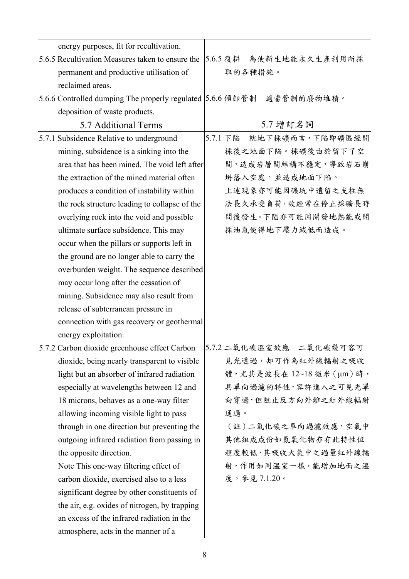| energy purposes, fit for recultivation.                               |                             |
|-----------------------------------------------------------------------|-----------------------------|
| 5.6.5 Recultivation Measures taken to ensure the                      | 5.6.5 復耕 為使新生地能永久生產利用所採     |
| permanent and productive utilisation of                               | 取的各種措施。                     |
| reclaimed areas.                                                      |                             |
| 5.6.6 Controlled dumping The properly regulated 5.6.6 傾卸管制 適當管制的廢物堆積。 |                             |
| deposition of waste products.                                         |                             |
| 5.7 Additional Terms                                                  | 5.7 增訂名詞                    |
| 5.7.1 Subsidence Relative to underground                              | 就地下採礦而言,下陷即礦區經開<br>5.7.1 下陷 |
| mining, subsidence is a sinking into the                              | 採後之地面下陷。採礦後由於留下了空           |
| area that has been mined. The void left after                         | 間,造成岩層間結構不穩定,導致岩石崩          |
| the extraction of the mined material often                            | 坍落入空處,並造成地面下陷。              |
| produces a condition of instability within                            | 上述現象亦可能因礦坑中遺留之支柱無           |
| the rock structure leading to collapse of the                         | 法長久承受負荷,故經常在停止採礦長時          |
| overlying rock into the void and possible                             | 間後發生。下陷亦可能因開發地熱能或開          |
| ultimate surface subsidence. This may                                 | 採油氣使得地下壓力減低而造成。             |
| occur when the pillars or supports left in                            |                             |
| the ground are no longer able to carry the                            |                             |
| overburden weight. The sequence described                             |                             |
| may occur long after the cessation of                                 |                             |
| mining. Subsidence may also result from                               |                             |
| release of subterranean pressure in                                   |                             |
| connection with gas recovery or geothermal                            |                             |
| energy exploitation.                                                  |                             |
| 5.7.2 Carbon dioxide greenhouse effect Carbon                         | 5.7.2 二氧化碳溫室效應 二氧化碳幾可容可     |
| dioxide, being nearly transparent to visible                          | 見光透過,却可作為紅外線輻射之吸收           |
| light but an absorber of infrared radiation                           | 體,尤其是波長在 12~18 微米 (μm)時,    |
| especially at wavelengths between 12 and                              | 具單向過濾的特性,容許進入之可見光單          |
| 18 microns, behaves as a one-way filter                               | 向穿過,但阻止反方向外離之紅外線輻射          |
| allowing incoming visible light to pass                               | 通過。                         |
| through in one direction but preventing the                           | (註)二氧化碳之單向過濾效應,空氣中          |
| outgoing infrared radiation from passing in                           | 其他組成成份如氮氧化物亦有此特性但           |
| the opposite direction.                                               | 程度較低,其吸收大氣中之過量紅外線輻          |
| Note This one-way filtering effect of                                 | 射,作用如同溫室一樣,能增加地面之溫          |
| carbon dioxide, exercised also to a less                              | 度。參見7.1.20。                 |
| significant degree by other constituents of                           |                             |
| the air, e.g. oxides of nitrogen, by trapping                         |                             |
| an excess of the infrared radiation in the                            |                             |
| atmosphere, acts in the manner of a                                   |                             |